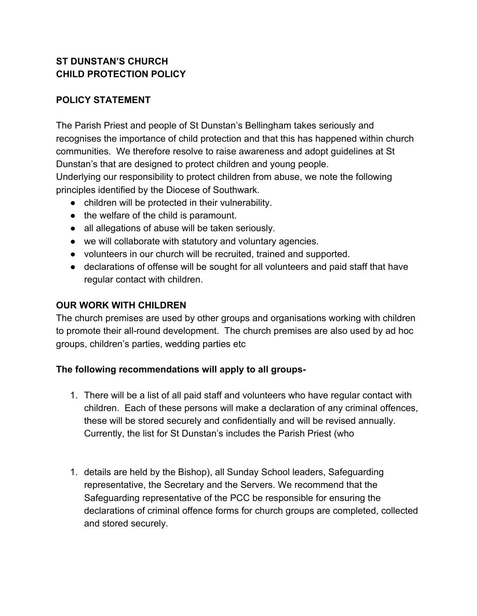### **ST DUNSTAN'S CHURCH CHILD PROTECTION POLICY**

## **POLICY STATEMENT**

The Parish Priest and people of St Dunstan's Bellingham takes seriously and recognises the importance of child protection and that this has happened within church communities. We therefore resolve to raise awareness and adopt guidelines at St Dunstan's that are designed to protect children and young people. Underlying our responsibility to protect children from abuse, we note the following principles identified by the Diocese of Southwark.

- children will be protected in their vulnerability.
- the welfare of the child is paramount.
- all allegations of abuse will be taken seriously.
- we will collaborate with statutory and voluntary agencies.
- volunteers in our church will be recruited, trained and supported.
- declarations of offense will be sought for all volunteers and paid staff that have regular contact with children.

### **OUR WORK WITH CHILDREN**

The church premises are used by other groups and organisations working with children to promote their all-round development. The church premises are also used by ad hoc groups, children's parties, wedding parties etc

### **The following recommendations will apply to all groups-**

- 1. There will be a list of all paid staff and volunteers who have regular contact with children. Each of these persons will make a declaration of any criminal offences, these will be stored securely and confidentially and will be revised annually. Currently, the list for St Dunstan's includes the Parish Priest (who
- 1. details are held by the Bishop), all Sunday School leaders, Safeguarding representative, the Secretary and the Servers. We recommend that the Safeguarding representative of the PCC be responsible for ensuring the declarations of criminal offence forms for church groups are completed, collected and stored securely.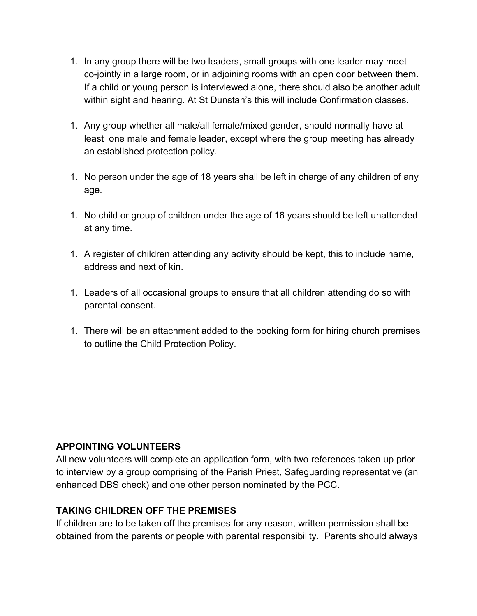- 1. In any group there will be two leaders, small groups with one leader may meet co-jointly in a large room, or in adjoining rooms with an open door between them. If a child or young person is interviewed alone, there should also be another adult within sight and hearing. At St Dunstan's this will include Confirmation classes.
- 1. Any group whether all male/all female/mixed gender, should normally have at least one male and female leader, except where the group meeting has already an established protection policy.
- 1. No person under the age of 18 years shall be left in charge of any children of any age.
- 1. No child or group of children under the age of 16 years should be left unattended at any time.
- 1. A register of children attending any activity should be kept, this to include name, address and next of kin.
- 1. Leaders of all occasional groups to ensure that all children attending do so with parental consent.
- 1. There will be an attachment added to the booking form for hiring church premises to outline the Child Protection Policy.

### **APPOINTING VOLUNTEERS**

All new volunteers will complete an application form, with two references taken up prior to interview by a group comprising of the Parish Priest, Safeguarding representative (an enhanced DBS check) and one other person nominated by the PCC.

#### **TAKING CHILDREN OFF THE PREMISES**

If children are to be taken off the premises for any reason, written permission shall be obtained from the parents or people with parental responsibility. Parents should always